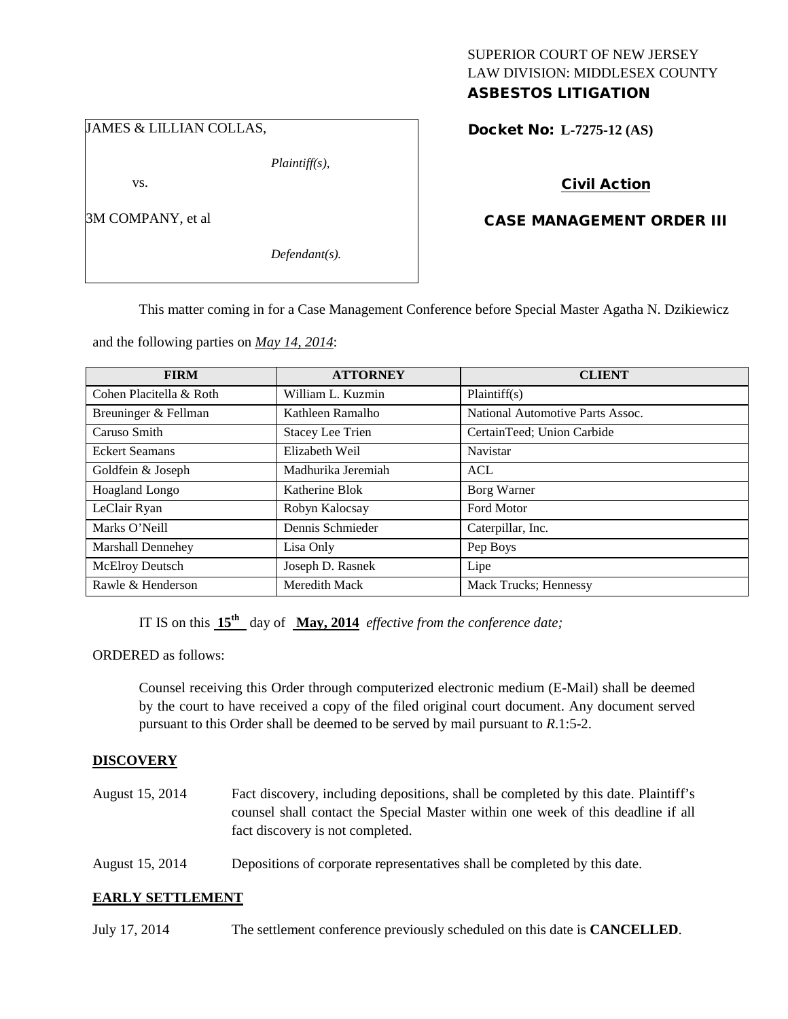## JAMES & LILLIAN COLLAS,

*Plaintiff(s),*

vs.

3M COMPANY, et al

*Defendant(s).*

## SUPERIOR COURT OF NEW JERSEY LAW DIVISION: MIDDLESEX COUNTY ASBESTOS LITIGATION

Docket No: **L-7275-12 (AS)** 

# Civil Action

# CASE MANAGEMENT ORDER III

This matter coming in for a Case Management Conference before Special Master Agatha N. Dzikiewicz

and the following parties on *May 14, 2014*:

| <b>FIRM</b>              | <b>ATTORNEY</b>         | <b>CLIENT</b>                    |
|--------------------------|-------------------------|----------------------------------|
| Cohen Placitella & Roth  | William L. Kuzmin       | Plaintiff(s)                     |
| Breuninger & Fellman     | Kathleen Ramalho        | National Automotive Parts Assoc. |
| Caruso Smith             | <b>Stacey Lee Trien</b> | CertainTeed; Union Carbide       |
| <b>Eckert Seamans</b>    | Elizabeth Weil          | Navistar                         |
| Goldfein & Joseph        | Madhurika Jeremiah      | ACL                              |
| Hoagland Longo           | Katherine Blok          | Borg Warner                      |
| LeClair Ryan             | Robyn Kalocsay          | <b>Ford Motor</b>                |
| Marks O'Neill            | Dennis Schmieder        | Caterpillar, Inc.                |
| <b>Marshall Dennehey</b> | Lisa Only               | Pep Boys                         |
| McElroy Deutsch          | Joseph D. Rasnek        | Lipe                             |
| Rawle & Henderson        | Meredith Mack           | Mack Trucks; Hennessy            |

IT IS on this **15th** day of **May, 2014** *effective from the conference date;*

ORDERED as follows:

Counsel receiving this Order through computerized electronic medium (E-Mail) shall be deemed by the court to have received a copy of the filed original court document. Any document served pursuant to this Order shall be deemed to be served by mail pursuant to *R*.1:5-2.

## **DISCOVERY**

- August 15, 2014 Fact discovery, including depositions, shall be completed by this date. Plaintiff's counsel shall contact the Special Master within one week of this deadline if all fact discovery is not completed.
- August 15, 2014 Depositions of corporate representatives shall be completed by this date.

## **EARLY SETTLEMENT**

July 17, 2014 The settlement conference previously scheduled on this date is **CANCELLED**.